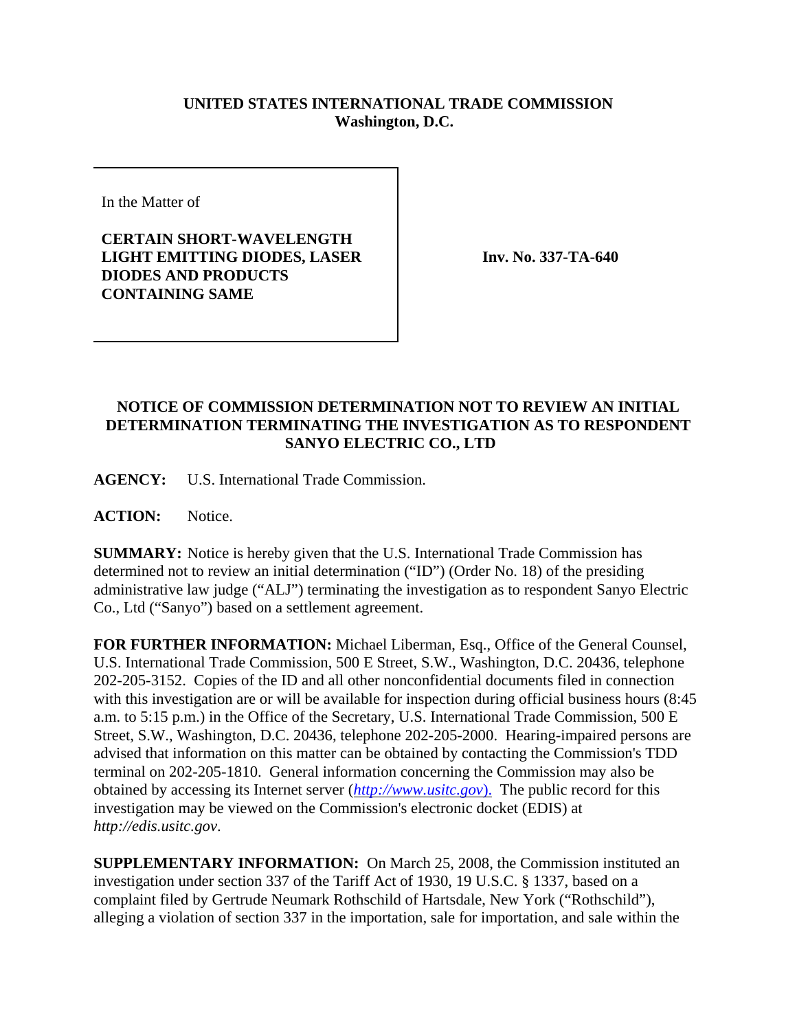## **UNITED STATES INTERNATIONAL TRADE COMMISSION Washington, D.C.**

In the Matter of

**CERTAIN SHORT-WAVELENGTH LIGHT EMITTING DIODES, LASER DIODES AND PRODUCTS CONTAINING SAME**

**Inv. No. 337-TA-640**

## **NOTICE OF COMMISSION DETERMINATION NOT TO REVIEW AN INITIAL DETERMINATION TERMINATING THE INVESTIGATION AS TO RESPONDENT SANYO ELECTRIC CO., LTD**

**AGENCY:** U.S. International Trade Commission.

**ACTION:** Notice.

**SUMMARY:** Notice is hereby given that the U.S. International Trade Commission has determined not to review an initial determination ("ID") (Order No. 18) of the presiding administrative law judge ("ALJ") terminating the investigation as to respondent Sanyo Electric Co., Ltd ("Sanyo") based on a settlement agreement.

**FOR FURTHER INFORMATION:** Michael Liberman, Esq., Office of the General Counsel, U.S. International Trade Commission, 500 E Street, S.W., Washington, D.C. 20436, telephone 202-205-3152. Copies of the ID and all other nonconfidential documents filed in connection with this investigation are or will be available for inspection during official business hours (8:45 a.m. to 5:15 p.m.) in the Office of the Secretary, U.S. International Trade Commission, 500 E Street, S.W., Washington, D.C. 20436, telephone 202-205-2000. Hearing-impaired persons are advised that information on this matter can be obtained by contacting the Commission's TDD terminal on 202-205-1810. General information concerning the Commission may also be obtained by accessing its Internet server (*http://www.usitc.gov*). The public record for this investigation may be viewed on the Commission's electronic docket (EDIS) at *http://edis.usitc.gov*.

**SUPPLEMENTARY INFORMATION:** On March 25, 2008, the Commission instituted an investigation under section 337 of the Tariff Act of 1930, 19 U.S.C. § 1337, based on a complaint filed by Gertrude Neumark Rothschild of Hartsdale, New York ("Rothschild"), alleging a violation of section 337 in the importation, sale for importation, and sale within the